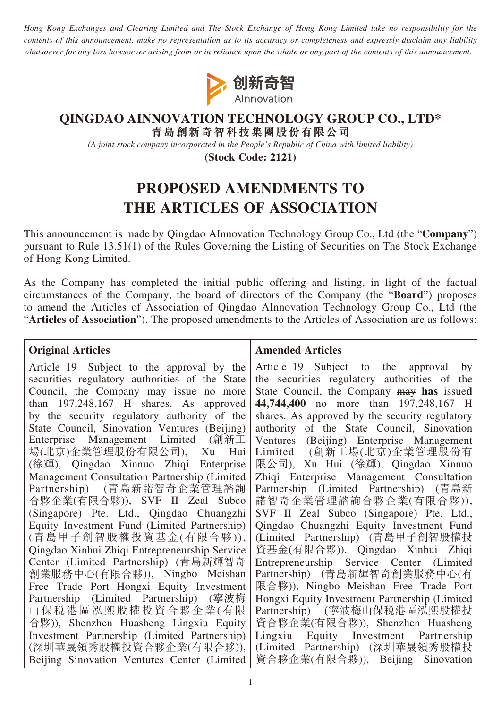*Hong Kong Exchanges and Clearing Limited and The Stock Exchange of Hong Kong Limited take no responsibility for the contents of this announcement, make no representation as to its accuracy or completeness and expressly disclaim any liability whatsoever for any loss howsoever arising from or in reliance upon the whole or any part of the contents of this announcement.*



## **QINGDAO AINNOVATION TECHNOLOGY GROUP CO., LTD\***

**青島創新奇智科技集團股份有限公司**

*(A joint stock company incorporated in the People's Republic of China with limited liability)*

**(Stock Code: 2121)**

## **PROPOSED AMENDMENTS TO THE ARTICLES OF ASSOCIATION**

This announcement is made by Qingdao AInnovation Technology Group Co., Ltd (the "**Company**") pursuant to Rule 13.51(1) of the Rules Governing the Listing of Securities on The Stock Exchange of Hong Kong Limited.

As the Company has completed the initial public offering and listing, in light of the factual circumstances of the Company, the board of directors of the Company (the "**Board**") proposes to amend the Articles of Association of Qingdao AInnovation Technology Group Co., Ltd (the "**Articles of Association**"). The proposed amendments to the Articles of Association are as follows:

| <b>Original Articles</b>                                              | <b>Amended Articles</b>                                                      |
|-----------------------------------------------------------------------|------------------------------------------------------------------------------|
| Article 19 Subject to the approval by the                             | Article 19 Subject to the approval<br>by                                     |
| securities regulatory authorities of the State                        | the securities regulatory authorities of the                                 |
| Council, the Company may issue no more                                | State Council, the Company may has issued                                    |
| than $197,248,167$ H shares. As approved                              | 44,744,400 no more than 197,248,167 H                                        |
| by the security regulatory authority of the                           | shares. As approved by the security regulatory                               |
| State Council, Sinovation Ventures (Beijing)                          | authority of the State Council, Sinovation                                   |
| Enterprise Management Limited (創新工                                    | (Beijing) Enterprise Management<br>Ventures                                  |
| 場(北京)企業管理股份有限公司), Xu<br>Hui                                           | Limited (創新工場(北京)企業管理股份有                                                     |
| (徐輝), Qingdao Xinnuo Zhiqi Enterprise                                 | 限公司), Xu Hui (徐輝), Qingdao Xinnuo                                            |
| Management Consultation Partnership (Limited                          | Zhiqi Enterprise Management Consultation                                     |
| Partnership) (青島新諾智奇企業管理諮詢                                            | Partnership (Limited Partnership) (青島新                                       |
| 合夥企業(有限合夥)), SVF II Zeal Subco                                        | 諾智奇企業管理諮詢合夥企業(有限合夥)),                                                        |
| (Singapore) Pte. Ltd., Qingdao Chuangzhi                              | SVF II Zeal Subco (Singapore) Pte. Ltd.,                                     |
| Equity Investment Fund (Limited Partnership)<br>(青島甲子創智股權投資基金(有限合夥)), | Qingdao Chuangzhi Equity Investment Fund<br>(Limited Partnership) (青島甲子創智股權投 |
| Qingdao Xinhui Zhiqi Entrepreneurship Service                         | 資基金(有限合夥)), Qingdao Xinhui Zhiqi                                             |
| Center (Limited Partnership) (青島新輝智奇                                  | Entrepreneurship Service Center (Limited                                     |
| 創業服務中心(有限合夥)), Ningbo Meishan                                         | Partnership) (青島新輝智奇創業服務中心(有                                                 |
| Free Trade Port Hongxi Equity Investment                              | 限合夥)), Ningbo Meishan Free Trade Port                                        |
| Partnership (Limited Partnership) (寧波梅                                | Hongxi Equity Investment Partnership (Limited                                |
| 山保税港區泓熙股權投資合夥企業(有限                                                    | Partnership) (寧波梅山保税港區泓熙股權投                                                  |
| 合夥)), Shenzhen Huasheng Lingxiu Equity                                | 資合夥企業(有限合夥)), Shenzhen Huasheng                                              |
| Investment Partnership (Limited Partnership)                          | Lingxiu Equity Investment Partnership                                        |
| (深圳華晟領秀股權投資合夥企業(有限合夥)),                                               | (Limited Partnership) (深圳華晟領秀股權投                                             |
| Beijing Sinovation Ventures Center (Limited                           | 資合夥企業(有限合夥)), Beijing<br>Sinovation                                          |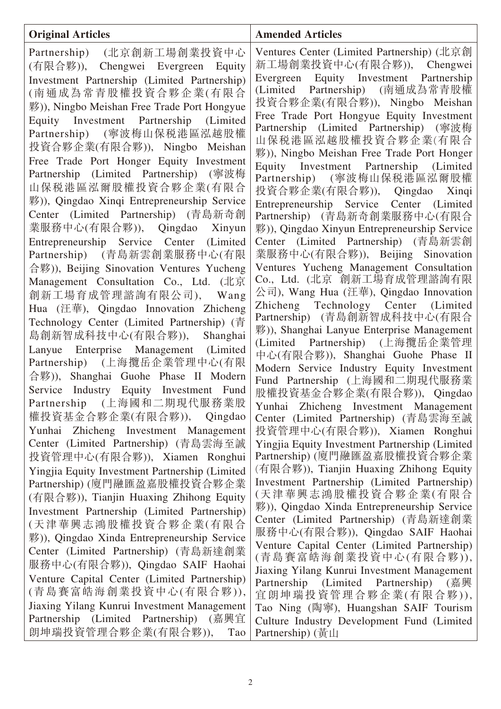| <b>Original Articles</b>                                                                                                                                                                                                                                                                                                                                                                                                                                                                                                                                                                                                                                                                                                                                                                                                                                                                                                                                                                                                                                                                                                                                                                    | <b>Amended Articles</b>                                                                                                                                                                                                                                                                                                                                                                                                                                                                                                                                                                                                                                                                                                                                                                                                                                                                                                                                                                                                                                                                                                                                                               |
|---------------------------------------------------------------------------------------------------------------------------------------------------------------------------------------------------------------------------------------------------------------------------------------------------------------------------------------------------------------------------------------------------------------------------------------------------------------------------------------------------------------------------------------------------------------------------------------------------------------------------------------------------------------------------------------------------------------------------------------------------------------------------------------------------------------------------------------------------------------------------------------------------------------------------------------------------------------------------------------------------------------------------------------------------------------------------------------------------------------------------------------------------------------------------------------------|---------------------------------------------------------------------------------------------------------------------------------------------------------------------------------------------------------------------------------------------------------------------------------------------------------------------------------------------------------------------------------------------------------------------------------------------------------------------------------------------------------------------------------------------------------------------------------------------------------------------------------------------------------------------------------------------------------------------------------------------------------------------------------------------------------------------------------------------------------------------------------------------------------------------------------------------------------------------------------------------------------------------------------------------------------------------------------------------------------------------------------------------------------------------------------------|
| Partnership) (北京創新工場創業投資中心<br>(有限合夥)), Chengwei Evergreen Equity<br>Investment Partnership (Limited Partnership)<br>(南通成為常青股權投資合夥企業(有限合<br>夥)), Ningbo Meishan Free Trade Port Hongyue<br>Equity Investment Partnership (Limited<br>Partnership) (寧波梅山保税港區泓越股權<br>投資合夥企業(有限合夥)), Ningbo Meishan<br>Free Trade Port Honger Equity Investment<br>Partnership (Limited Partnership) (寧波梅<br>山保税港區泓爾股權投資合夥企業(有限合<br>夥)), Qingdao Xinqi Entrepreneurship Service<br>Center (Limited Partnership) (青島新奇創<br>業服務中心(有限合夥)), Qingdao Xinyun<br>Entrepreneurship Service Center (Limited<br>Partnership) (青島新雲創業服務中心(有限<br>合夥)), Beijing Sinovation Ventures Yucheng<br>Management Consultation Co., Ltd. (北京<br>創新工場育成管理諮詢有限公司), Wang<br>Hua (汪華), Qingdao Innovation Zhicheng<br>Technology Center (Limited Partnership) (青<br>島創新智成科技中心(有限合夥)),<br>Shanghai<br>Lanyue Enterprise Management (Limited<br>Partnership) (上海攬岳企業管理中心(有限<br>合夥)), Shanghai Guohe Phase II Modern<br>Service Industry Equity Investment Fund<br>Partnership (上海國和二期現代服務業股<br>權投資基金合夥企業(有限合夥)), Qingdao<br>Yunhai Zhicheng Investment Management<br>Center (Limited Partnership) (青島雲海至誠<br>投資管理中心(有限合夥)), Xiamen Ronghui | Ventures Center (Limited Partnership) (北京創<br>新工場創業投資中心(有限合夥)), Chengwei<br>Equity Investment Partnership<br>Evergreen<br>(Limited Partnership) (南通成為常青股權<br>投資合夥企業(有限合夥)), Ningbo Meishan<br>Free Trade Port Hongyue Equity Investment<br>Partnership (Limited Partnership) (寧波梅<br>山保税港區泓越股權投資合夥企業(有限合<br>夥)), Ningbo Meishan Free Trade Port Honger<br>Equity Investment Partnership (Limited<br>Partnership) (寧波梅山保税港區泓爾股權)<br>投資合夥企業(有限合夥)), Qingdao Xinqi<br>Entrepreneurship Service Center (Limited<br>Partnership) (青島新奇創業服務中心(有限合<br>夥)), Qingdao Xinyun Entrepreneurship Service<br>Center (Limited Partnership) (青島新雲創<br>業服務中心(有限合夥)), Beijing Sinovation<br>Ventures Yucheng Management Consultation<br>Co., Ltd. (北京 創新工場育成管理諮詢有限<br>公司), Wang Hua (汪華), Qingdao Innovation<br>Zhicheng Technology Center (Limited<br>Partnership) (青島創新智成科技中心(有限合<br>夥)), Shanghai Lanyue Enterprise Management<br>(Limited Partnership) (上海攬岳企業管理<br>中心(有限合夥)), Shanghai Guohe Phase II<br>Modern Service Industry Equity Investment<br>Fund Partnership (上海國和二期現代服務業<br>股權投資基金合夥企業(有限合夥)), Qingdao<br>Yunhai Zhicheng Investment Management<br>Center (Limited Partnership) (青島雲海至誠 |
| Yingjia Equity Investment Partnership (Limited<br>Partnership) (廈門融匯盈嘉股權投資合夥企業                                                                                                                                                                                                                                                                                                                                                                                                                                                                                                                                                                                                                                                                                                                                                                                                                                                                                                                                                                                                                                                                                                              | 投資管理中心(有限合夥)), Xiamen Ronghui<br>Yingjia Equity Investment Partnership (Limited<br>Partnership) (廈門融匯盈嘉股權投資合夥企業<br>(有限合夥)), Tianjin Huaxing Zhihong Equity<br>Investment Partnership (Limited Partnership)<br>(天津華興志鴻股權投資合夥企業(有限合                                                                                                                                                                                                                                                                                                                                                                                                                                                                                                                                                                                                                                                                                                                                                                                                                                                                                                                                                     |
| (有限合夥)), Tianjin Huaxing Zhihong Equity<br>Investment Partnership (Limited Partnership)<br>(天津華興志鴻股權投資合夥企業(有限合<br>夥)), Qingdao Xinda Entrepreneurship Service<br>Center (Limited Partnership) (青島新達創業<br>服務中心(有限合夥)), Qingdao SAIF Haohai<br>Venture Capital Center (Limited Partnership)<br>(青島賽富皓海創業投資中心(有限合夥)),<br>Jiaxing Yilang Kunrui Investment Management                                                                                                                                                                                                                                                                                                                                                                                                                                                                                                                                                                                                                                                                                                                                                                                                                           | 夥)), Qingdao Xinda Entrepreneurship Service<br>Center (Limited Partnership) (青島新達創業<br>服務中心(有限合夥)), Qingdao SAIF Haohai<br>Venture Capital Center (Limited Partnership)<br>(青島賽富皓海創業投資中心(有限合夥)),<br>Jiaxing Yilang Kunrui Investment Management<br>Partnership (Limited<br>Partnership)<br>(嘉興<br>宜朗坤瑞投資管理合夥企業(有限合夥)),<br>Tao Ning (陶寧), Huangshan SAIF Tourism                                                                                                                                                                                                                                                                                                                                                                                                                                                                                                                                                                                                                                                                                                                                                                                                                       |
| Partnership (Limited Partnership) (嘉興宜<br>朗坤瑞投資管理合夥企業(有限合夥)),<br>Tao                                                                                                                                                                                                                                                                                                                                                                                                                                                                                                                                                                                                                                                                                                                                                                                                                                                                                                                                                                                                                                                                                                                        | Culture Industry Development Fund (Limited<br>Partnership) (黃山                                                                                                                                                                                                                                                                                                                                                                                                                                                                                                                                                                                                                                                                                                                                                                                                                                                                                                                                                                                                                                                                                                                        |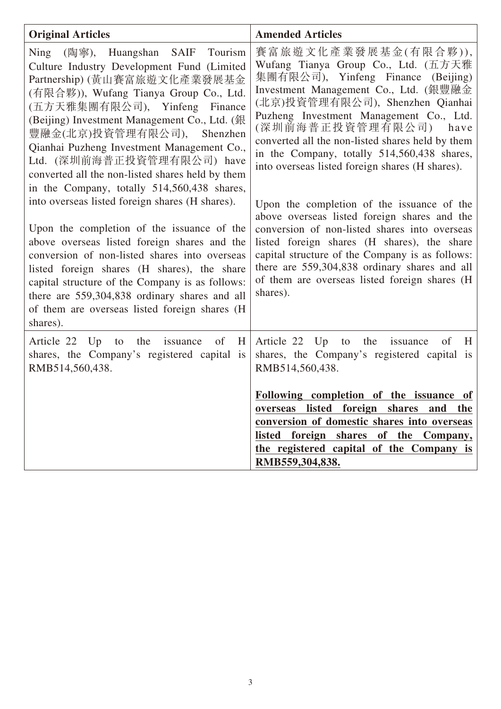| <b>Original Articles</b>                                                                                                                                                                                                                                                                                                                                                                                                                                                                                                                                     | <b>Amended Articles</b>                                                                                                                                                                                                                                                                                                                                                                                                                                                                                                                                      |
|--------------------------------------------------------------------------------------------------------------------------------------------------------------------------------------------------------------------------------------------------------------------------------------------------------------------------------------------------------------------------------------------------------------------------------------------------------------------------------------------------------------------------------------------------------------|--------------------------------------------------------------------------------------------------------------------------------------------------------------------------------------------------------------------------------------------------------------------------------------------------------------------------------------------------------------------------------------------------------------------------------------------------------------------------------------------------------------------------------------------------------------|
| Ning (陶寧), Huangshan SAIF<br>Tourism<br>Culture Industry Development Fund (Limited<br>Partnership) (黃山賽富旅遊文化產業發展基金<br>(有限合夥)), Wufang Tianya Group Co., Ltd.<br>(五方天雅集團有限公司), Yinfeng Finance<br>(Beijing) Investment Management Co., Ltd. (銀)<br>豐融金(北京)投資管理有限公司), Shenzhen<br>Qianhai Puzheng Investment Management Co.,<br>Ltd. (深圳前海普正投資管理有限公司) have<br>converted all the non-listed shares held by them<br>in the Company, totally 514,560,438 shares,<br>into overseas listed foreign shares (H shares).<br>Upon the completion of the issuance of the | 賽富旅遊文化產業發展基金(有限合夥)),<br>Wufang Tianya Group Co., Ltd. (五方天雅<br>集團有限公司), Yinfeng Finance<br>(Beijing)<br>Investment Management Co., Ltd. (銀豐融金<br>(北京)投資管理有限公司), Shenzhen Qianhai<br>Puzheng Investment Management Co., Ltd.<br>(深圳前海普正投資管理有限公司)<br>have<br>converted all the non-listed shares held by them<br>in the Company, totally 514,560,438 shares,<br>into overseas listed foreign shares (H shares).<br>Upon the completion of the issuance of the<br>above overseas listed foreign shares and the<br>conversion of non-listed shares into overseas |
| above overseas listed foreign shares and the<br>conversion of non-listed shares into overseas<br>listed foreign shares (H shares), the share<br>capital structure of the Company is as follows:<br>there are 559,304,838 ordinary shares and all<br>of them are overseas listed foreign shares (H<br>shares).                                                                                                                                                                                                                                                | listed foreign shares (H shares), the share<br>capital structure of the Company is as follows:<br>there are 559,304,838 ordinary shares and all<br>of them are overseas listed foreign shares (H<br>shares).                                                                                                                                                                                                                                                                                                                                                 |
| Article 22 Up<br>the<br>issuance<br>of<br>H<br>to<br>shares, the Company's registered capital is<br>RMB514,560,438.                                                                                                                                                                                                                                                                                                                                                                                                                                          | Article 22 Up<br>the<br>of<br>to<br>issuance<br>H<br>shares, the Company's registered capital is<br>RMB514,560,438.                                                                                                                                                                                                                                                                                                                                                                                                                                          |
|                                                                                                                                                                                                                                                                                                                                                                                                                                                                                                                                                              | Following completion of the issuance of<br>overseas listed foreign shares and the<br>conversion of domestic shares into overseas<br>listed foreign shares of the Company,<br>the registered capital of the Company is                                                                                                                                                                                                                                                                                                                                        |
|                                                                                                                                                                                                                                                                                                                                                                                                                                                                                                                                                              | RMB559,304,838.                                                                                                                                                                                                                                                                                                                                                                                                                                                                                                                                              |